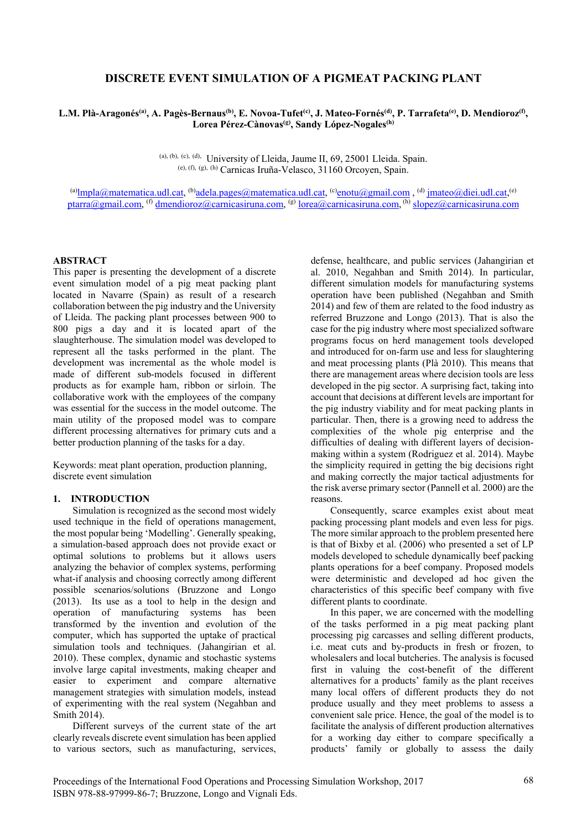# **DISCRETE EVENT SIMULATION OF A PIGMEAT PACKING PLANT**

## L.M. Plà-Aragonés<sup>(a)</sup>, A. Pagès-Bernaus<sup>(b)</sup>, E. Novoa-Tufet<sup>(c)</sup>, J. Mateo-Fornés<sup>(d)</sup>, P. Tarrafeta<sup>(e)</sup>, D. Mendioroz<sup>(f)</sup>, Lorea Pérez-Cànovas<sup>(g)</sup>, Sandy López-Nogales<sup>(h)</sup>

(a), (b), (c), (d), University of Lleida, Jaume II, 69, 25001 Lleida. Spain. (e), (f), (g), (h) Carnicas Iruña-Velasco, 31160 Orcoyen, Spain.

<sup>(a)</sup>lmpla@matematica.udl.cat, <sup>(b)</sup>adela.pages@matematica.udl.cat, <sup>(c)</sup>enotu@gmail.com, <sup>(d)</sup> jmateo@diei.udl.cat,<sup>(c)</sup> ptarra@gmail.com, <sup>(f)</sup> dmendioroz@carnicasiruna.com, <sup>(g)</sup> lorea@carnicasiruna.com, <sup>(h)</sup> slopez@carnicasiruna.com

#### **ABSTRACT**

This paper is presenting the development of a discrete event simulation model of a pig meat packing plant located in Navarre (Spain) as result of a research collaboration between the pig industry and the University of Lleida. The packing plant processes between 900 to 800 pigs a day and it is located apart of the slaughterhouse. The simulation model was developed to represent all the tasks performed in the plant. The development was incremental as the whole model is made of different sub-models focused in different products as for example ham, ribbon or sirloin. The collaborative work with the employees of the company was essential for the success in the model outcome. The main utility of the proposed model was to compare different processing alternatives for primary cuts and a better production planning of the tasks for a day.

Keywords: meat plant operation, production planning, discrete event simulation

## **1. INTRODUCTION**

Simulation is recognized as the second most widely used technique in the field of operations management, the most popular being 'Modelling'. Generally speaking, a simulation-based approach does not provide exact or optimal solutions to problems but it allows users analyzing the behavior of complex systems, performing what-if analysis and choosing correctly among different possible scenarios/solutions (Bruzzone and Longo (2013). Its use as a tool to help in the design and operation of manufacturing systems has been transformed by the invention and evolution of the computer, which has supported the uptake of practical simulation tools and techniques. (Jahangirian et al. 2010). These complex, dynamic and stochastic systems involve large capital investments, making cheaper and easier to experiment and compare alternative management strategies with simulation models, instead of experimenting with the real system (Negahban and Smith 2014).

Different surveys of the current state of the art clearly reveals discrete event simulation has been applied to various sectors, such as manufacturing, services,

defense, healthcare, and public services (Jahangirian et al. 2010, Negahban and Smith 2014). In particular, different simulation models for manufacturing systems operation have been published (Negahban and Smith 2014) and few of them are related to the food industry as referred Bruzzone and Longo (2013). That is also the case for the pig industry where most specialized software programs focus on herd management tools developed and introduced for on-farm use and less for slaughtering and meat processing plants (Plà 2010). This means that there are management areas where decision tools are less developed in the pig sector. A surprising fact, taking into account that decisions at different levels are important for the pig industry viability and for meat packing plants in particular. Then, there is a growing need to address the complexities of the whole pig enterprise and the difficulties of dealing with different layers of decisionmaking within a system (Rodriguez et al. 2014). Maybe the simplicity required in getting the big decisions right and making correctly the major tactical adjustments for the risk averse primary sector (Pannell et al. 2000) are the reasons.

Consequently, scarce examples exist about meat packing processing plant models and even less for pigs. The more similar approach to the problem presented here is that of Bixby et al. (2006) who presented a set of LP models developed to schedule dynamically beef packing plants operations for a beef company. Proposed models were deterministic and developed ad hoc given the characteristics of this specific beef company with five different plants to coordinate.

In this paper, we are concerned with the modelling of the tasks performed in a pig meat packing plant processing pig carcasses and selling different products, i.e. meat cuts and by-products in fresh or frozen, to wholesalers and local butcheries. The analysis is focused first in valuing the cost-benefit of the different alternatives for a products' family as the plant receives many local offers of different products they do not produce usually and they meet problems to assess a convenient sale price. Hence, the goal of the model is to facilitate the analysis of different production alternatives for a working day either to compare specifically a products' family or globally to assess the daily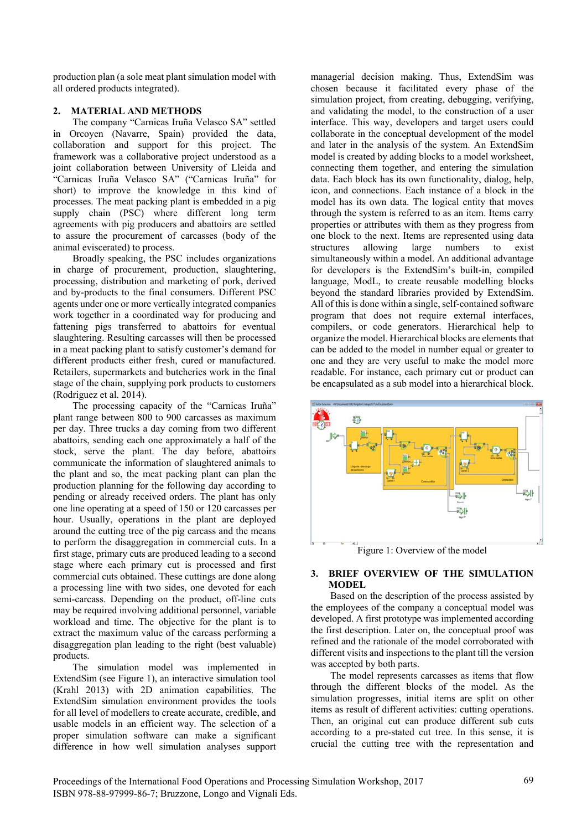production plan (a sole meat plant simulation model with all ordered products integrated).

## **2. MATERIAL AND METHODS**

The company "Carnicas Iruña Velasco SA" settled in Orcoyen (Navarre, Spain) provided the data, collaboration and support for this project. The framework was a collaborative project understood as a joint collaboration between University of Lleida and "Carnicas Iruña Velasco SA" ("Carnicas Iruña" for short) to improve the knowledge in this kind of processes. The meat packing plant is embedded in a pig supply chain (PSC) where different long term agreements with pig producers and abattoirs are settled to assure the procurement of carcasses (body of the animal eviscerated) to process.

Broadly speaking, the PSC includes organizations in charge of procurement, production, slaughtering, processing, distribution and marketing of pork, derived and by-products to the final consumers. Different PSC agents under one or more vertically integrated companies work together in a coordinated way for producing and fattening pigs transferred to abattoirs for eventual slaughtering. Resulting carcasses will then be processed in a meat packing plant to satisfy customer's demand for different products either fresh, cured or manufactured. Retailers, supermarkets and butcheries work in the final stage of the chain, supplying pork products to customers (Rodriguez et al. 2014).

The processing capacity of the "Carnicas Iruña" plant range between 800 to 900 carcasses as maximum per day. Three trucks a day coming from two different abattoirs, sending each one approximately a half of the stock, serve the plant. The day before, abattoirs communicate the information of slaughtered animals to the plant and so, the meat packing plant can plan the production planning for the following day according to pending or already received orders. The plant has only one line operating at a speed of 150 or 120 carcasses per hour. Usually, operations in the plant are deployed around the cutting tree of the pig carcass and the means to perform the disaggregation in commercial cuts. In a first stage, primary cuts are produced leading to a second stage where each primary cut is processed and first commercial cuts obtained. These cuttings are done along a processing line with two sides, one devoted for each semi-carcass. Depending on the product, off-line cuts may be required involving additional personnel, variable workload and time. The objective for the plant is to extract the maximum value of the carcass performing a disaggregation plan leading to the right (best valuable) products.

The simulation model was implemented in ExtendSim (see Figure 1), an interactive simulation tool (Krahl 2013) with 2D animation capabilities. The ExtendSim simulation environment provides the tools for all level of modellers to create accurate, credible, and usable models in an efficient way. The selection of a proper simulation software can make a significant difference in how well simulation analyses support

managerial decision making. Thus, ExtendSim was chosen because it facilitated every phase of the simulation project, from creating, debugging, verifying, and validating the model, to the construction of a user interface. This way, developers and target users could collaborate in the conceptual development of the model and later in the analysis of the system. An ExtendSim model is created by adding blocks to a model worksheet, connecting them together, and entering the simulation data. Each block has its own functionality, dialog, help, icon, and connections. Each instance of a block in the model has its own data. The logical entity that moves through the system is referred to as an item. Items carry properties or attributes with them as they progress from one block to the next. Items are represented using data structures allowing large numbers to exist simultaneously within a model. An additional advantage for developers is the ExtendSim's built-in, compiled language, ModL, to create reusable modelling blocks beyond the standard libraries provided by ExtendSim. All of this is done within a single, self-contained software program that does not require external interfaces, compilers, or code generators. Hierarchical help to organize the model. Hierarchical blocks are elements that can be added to the model in number equal or greater to one and they are very useful to make the model more readable. For instance, each primary cut or product can be encapsulated as a sub model into a hierarchical block.



Figure 1: Overview of the model

## **3. BRIEF OVERVIEW OF THE SIMULATION MODEL**

Based on the description of the process assisted by the employees of the company a conceptual model was developed. A first prototype was implemented according the first description. Later on, the conceptual proof was refined and the rationale of the model corroborated with different visits and inspections to the plant till the version was accepted by both parts.

The model represents carcasses as items that flow through the different blocks of the model. As the simulation progresses, initial items are split on other items as result of different activities: cutting operations. Then, an original cut can produce different sub cuts according to a pre-stated cut tree. In this sense, it is crucial the cutting tree with the representation and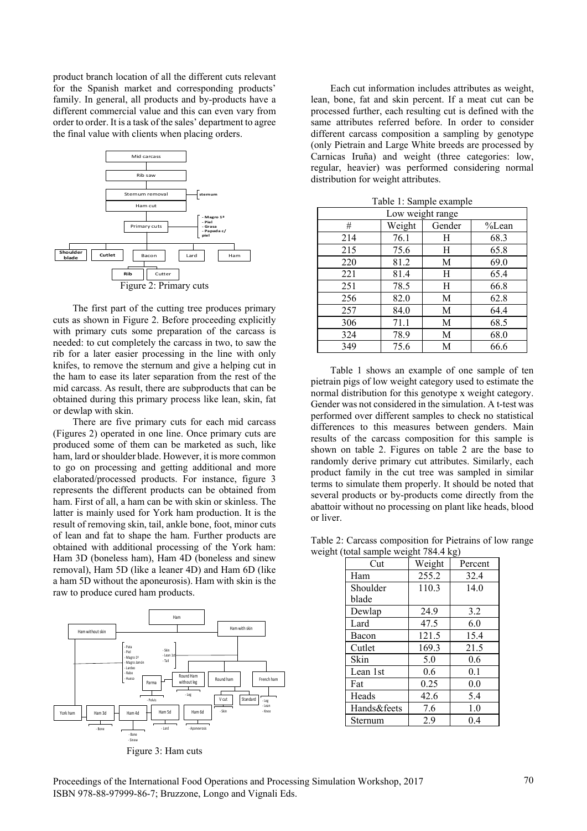product branch location of all the different cuts relevant for the Spanish market and corresponding products' family. In general, all products and by-products have a different commercial value and this can even vary from order to order. It is a task of the sales' department to agree the final value with clients when placing orders.



The first part of the cutting tree produces primary cuts as shown in Figure 2. Before proceeding explicitly with primary cuts some preparation of the carcass is needed: to cut completely the carcass in two, to saw the rib for a later easier processing in the line with only knifes, to remove the sternum and give a helping cut in the ham to ease its later separation from the rest of the mid carcass. As result, there are subproducts that can be obtained during this primary process like lean, skin, fat or dewlap with skin.

There are five primary cuts for each mid carcass (Figures 2) operated in one line. Once primary cuts are produced some of them can be marketed as such, like ham, lard or shoulder blade. However, it is more common to go on processing and getting additional and more elaborated/processed products. For instance, figure 3 represents the different products can be obtained from ham. First of all, a ham can be with skin or skinless. The latter is mainly used for York ham production. It is the result of removing skin, tail, ankle bone, foot, minor cuts of lean and fat to shape the ham. Further products are obtained with additional processing of the York ham: Ham 3D (boneless ham), Ham 4D (boneless and sinew removal), Ham 5D (like a leaner 4D) and Ham 6D (like a ham 5D without the aponeurosis). Ham with skin is the raw to produce cured ham products.



Figure 3: Ham cuts

Each cut information includes attributes as weight, lean, bone, fat and skin percent. If a meat cut can be processed further, each resulting cut is defined with the same attributes referred before. In order to consider different carcass composition a sampling by genotype (only Pietrain and Large White breeds are processed by Carnicas Iruña) and weight (three categories: low, regular, heavier) was performed considering normal distribution for weight attributes.

| Table 1: Sample example |        |        |       |  |
|-------------------------|--------|--------|-------|--|
| Low weight range        |        |        |       |  |
| #                       | Weight | Gender | %Lean |  |
| 214                     | 76.1   | Н      | 68.3  |  |
| 215                     | 75.6   | Η      | 65.8  |  |
| 220                     | 81.2   | М      | 69.0  |  |
| 221                     | 81.4   | Η      | 65.4  |  |
| 251                     | 78.5   | Η      | 66.8  |  |
| 256                     | 82.0   | М      | 62.8  |  |
| 257                     | 84.0   | М      | 64.4  |  |
| 306                     | 71.1   | М      | 68.5  |  |
| 324                     | 78.9   | М      | 68.0  |  |
| 349                     | 75.6   | М      | 66.6  |  |

Table 1: Sample example

Table 1 shows an example of one sample of ten pietrain pigs of low weight category used to estimate the normal distribution for this genotype x weight category. Gender was not considered in the simulation. A t-test was performed over different samples to check no statistical differences to this measures between genders. Main results of the carcass composition for this sample is shown on table 2. Figures on table 2 are the base to randomly derive primary cut attributes. Similarly, each product family in the cut tree was sampled in similar terms to simulate them properly. It should be noted that several products or by-products come directly from the abattoir without no processing on plant like heads, blood or liver.

Table 2: Carcass composition for Pietrains of low range weight (total sample weight 784.4 kg)

| ютаї запіріє мет <u>е</u> пі 70 <del>4.4</del> к <u>е</u> д |        |         |  |  |
|-------------------------------------------------------------|--------|---------|--|--|
| Cut                                                         | Weight | Percent |  |  |
| Ham                                                         | 255.2  | 32.4    |  |  |
| Shoulder                                                    | 110.3  | 14.0    |  |  |
| blade                                                       |        |         |  |  |
| Dewlap                                                      | 24.9   | 3.2     |  |  |
| Lard                                                        | 47.5   | 6.0     |  |  |
| Bacon                                                       | 121.5  | 15.4    |  |  |
| Cutlet                                                      | 169.3  | 21.5    |  |  |
| Skin                                                        | 5.0    | 0.6     |  |  |
| Lean 1st                                                    | 0.6    | 0.1     |  |  |
| Fat                                                         | 0.25   | 0.0     |  |  |
| Heads                                                       | 42.6   | 5.4     |  |  |
| Hands&feets                                                 | 7.6    | 1.0     |  |  |
| Sternum                                                     | 2.9    | 0.4     |  |  |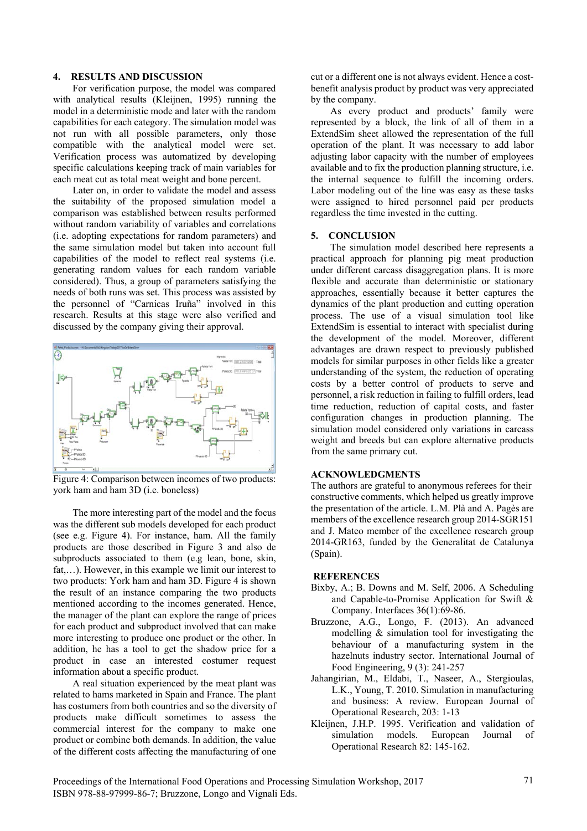### **4. RESULTS AND DISCUSSION**

For verification purpose, the model was compared with analytical results (Kleijnen, 1995) running the model in a deterministic mode and later with the random capabilities for each category. The simulation model was not run with all possible parameters, only those compatible with the analytical model were set. Verification process was automatized by developing specific calculations keeping track of main variables for each meat cut as total meat weight and bone percent.

Later on, in order to validate the model and assess the suitability of the proposed simulation model a comparison was established between results performed without random variability of variables and correlations (i.e. adopting expectations for random parameters) and the same simulation model but taken into account full capabilities of the model to reflect real systems (i.e. generating random values for each random variable considered). Thus, a group of parameters satisfying the needs of both runs was set. This process was assisted by the personnel of "Carnicas Iruña" involved in this research. Results at this stage were also verified and discussed by the company giving their approval.



Figure 4: Comparison between incomes of two products: york ham and ham 3D (i.e. boneless)

The more interesting part of the model and the focus was the different sub models developed for each product (see e.g. Figure 4). For instance, ham. All the family products are those described in Figure 3 and also de subproducts associated to them (e.g lean, bone, skin, fat,…). However, in this example we limit our interest to two products: York ham and ham 3D. Figure 4 is shown the result of an instance comparing the two products mentioned according to the incomes generated. Hence, the manager of the plant can explore the range of prices for each product and subproduct involved that can make more interesting to produce one product or the other. In addition, he has a tool to get the shadow price for a product in case an interested costumer request information about a specific product.

A real situation experienced by the meat plant was related to hams marketed in Spain and France. The plant has costumers from both countries and so the diversity of products make difficult sometimes to assess the commercial interest for the company to make one product or combine both demands. In addition, the value of the different costs affecting the manufacturing of one

cut or a different one is not always evident. Hence a costbenefit analysis product by product was very appreciated by the company.

As every product and products' family were represented by a block, the link of all of them in a ExtendSim sheet allowed the representation of the full operation of the plant. It was necessary to add labor adjusting labor capacity with the number of employees available and to fix the production planning structure, i.e. the internal sequence to fulfill the incoming orders. Labor modeling out of the line was easy as these tasks were assigned to hired personnel paid per products regardless the time invested in the cutting.

#### **5. CONCLUSION**

The simulation model described here represents a practical approach for planning pig meat production under different carcass disaggregation plans. It is more flexible and accurate than deterministic or stationary approaches, essentially because it better captures the dynamics of the plant production and cutting operation process. The use of a visual simulation tool like ExtendSim is essential to interact with specialist during the development of the model. Moreover, different advantages are drawn respect to previously published models for similar purposes in other fields like a greater understanding of the system, the reduction of operating costs by a better control of products to serve and personnel, a risk reduction in failing to fulfill orders, lead time reduction, reduction of capital costs, and faster configuration changes in production planning. The simulation model considered only variations in carcass weight and breeds but can explore alternative products from the same primary cut.

## **ACKNOWLEDGMENTS**

The authors are grateful to anonymous referees for their constructive comments, which helped us greatly improve the presentation of the article. L.M. Plà and A. Pagès are members of the excellence research group 2014-SGR151 and J. Mateo member of the excellence research group 2014-GR163, funded by the Generalitat de Catalunya (Spain).

#### **REFERENCES**

- Bixby, A.; B. Downs and M. Self, 2006. A Scheduling and Capable-to-Promise Application for Swift & Company. Interfaces 36(1):69-86.
- Bruzzone, A.G., Longo, F. (2013). An advanced modelling & simulation tool for investigating the behaviour of a manufacturing system in the hazelnuts industry sector. International Journal of Food Engineering, 9 (3): 241-257
- Jahangirian, M., Eldabi, T., Naseer, A., Stergioulas, L.K., Young, T. 2010. Simulation in manufacturing and business: A review. European Journal of Operational Research, 203: 1-13
- Kleijnen, J.H.P. 1995. Verification and validation of simulation models. European Journal of Operational Research 82: 145-162.